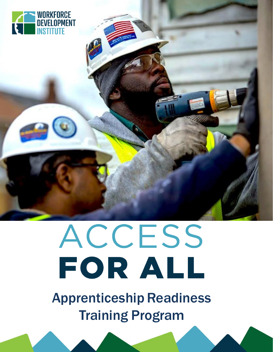

# ACCESS FOR ALL

Apprenticeship Readiness Training Program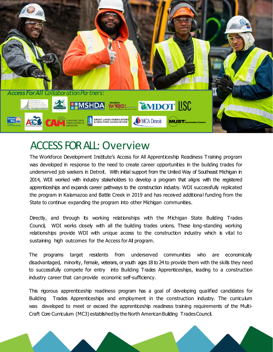

## ACCESS FORALL:Overview

The Workforce Development Institute's Access for All Apprenticeship Readiness Training program was developed in response to the need to create career opportunities in the building trades for underserved job seekers in Detroit. With initial support from the United Way of Southeast Michigan in 2014, WDI worked with industry stakeholders to develop a program that aligns with the registered apprenticeships and expands career pathways to the construction industry. WDI successfully replicated the program in Kalamazoo and Battle Creek in 2019 and has received additional funding from the State to continue expanding the program into other Michigan communities.

Directly, and through its working relationships with the Michigan State Building Trades Council, WDI works closely with all the building trades unions. These long-standing working relationships provide WDI with unique access to the construction industry which is vital to sustaining high outcomes for the Access for All program.

The programs target residents from underserved communities who are economically disadvantaged, minority, female, veterans, or youth ages 18 to 24 to provide them with the skills they need to successfully compete for entry into Building Trades Apprenticeships, leading to a construction industry career that can provide economic self-sufficiency.

This rigorous apprenticeship readiness program has a goal of developing qualified candidates for Building Trades Apprenticeships and employment in the construction industry. The curriculum was developed to meet or exceed the apprenticeship readiness training requirements of the Multi-Craft Core Curriculum (MC3) establishedby theNorth AmericanBuilding TradesCouncil.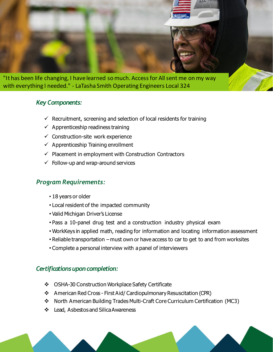

#### *Key Components:*

- $\checkmark$  Recruitment, screening and selection of local residents for training
- $\checkmark$  Apprenticeship readiness training
- $\checkmark$  Construction-site work experience
- $\checkmark$  Apprenticeship Training enrollment
- $\checkmark$  Placement in employment with Construction Contractors
- $\checkmark$  Follow-up and wrap-around services

#### *Program Requirements:*

- 18 years or older
- Local resident of the impacted community
- Valid Michigan Driver's License
- Pass a 10-panel drug test and a construction industry physical exam
- WorkKeys in applied math, reading for information and locating information assessment
- Reliable transportation must own or have access to car to get to and from worksites
- Complete a personal interview with a panel of interviewers

#### *Certificationsuponcompletion:*

- ❖ OSHA-30 Construction Workplace Safety Certificate
- ❖ American Red Cross First Aid/ CardiopulmonaryResuscitation (CPR)
- ❖ North American Building Trades Multi-Craft Core Curriculum Certification (MC3)
- ❖ Lead, Asbestosand SilicaAwareness